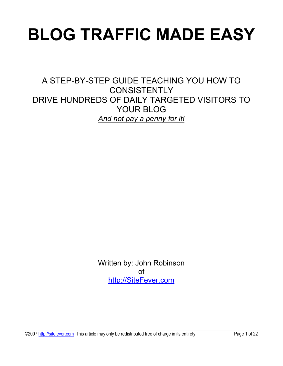# **BLOG TRAFFIC MADE EASY**

A STEP-BY-STEP GUIDE TEACHING YOU HOW TO **CONSISTENTLY** DRIVE HUNDREDS OF DAILY TARGETED VISITORS TO YOUR BLOG *And not pay a penny for it!*

> Written by: John Robinson of http://SiteFever.com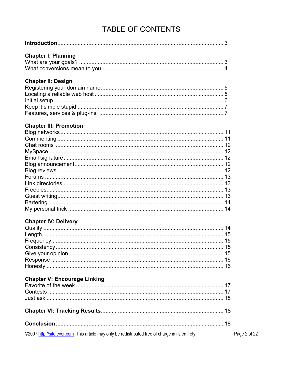# **TABLE OF CONTENTS**

| <b>Chapter I: Planning</b>    |  |
|-------------------------------|--|
|                               |  |
|                               |  |
| <b>Chapter II: Design</b>     |  |
|                               |  |
|                               |  |
|                               |  |
|                               |  |
|                               |  |
|                               |  |
| <b>Chapter III: Promotion</b> |  |
|                               |  |
|                               |  |
|                               |  |
|                               |  |
|                               |  |
|                               |  |
|                               |  |
|                               |  |
|                               |  |
|                               |  |
|                               |  |

## **Chapter IV: Delivery**

# **Chapter V: Encourage Linking**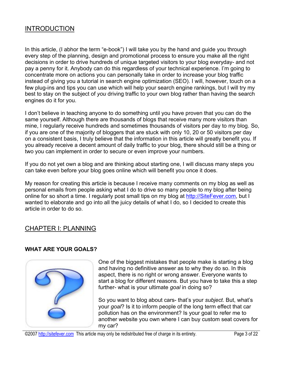# INTRODUCTION

In this article, (I abhor the term "e-book") I will take you by the hand and guide you through every step of the planning, design and promotional process to ensure you make all the right decisions in order to drive hundreds of unique targeted visitors to your blog everyday- and not pay a penny for it. Anybody can do this regardless of your technical experience. I'm going to concentrate more on actions you can personally take in order to increase your blog traffic instead of giving you a tutorial in search engine optimization (SEO). I will, however, touch on a few plug-ins and tips you can use which will help your search engine rankings, but I will try my best to stay on the subject of *you* driving traffic to your own blog rather than having the search engines do it for you.

I don't believe in teaching anyone to do something until you have proven that you can do the same yourself. Although there are thousands of blogs that receive many more visitors than mine, I regularly receive hundreds and sometimes thousands of visitors per day to my blog. So, if you are one of the majority of bloggers that are stuck with only 10, 20 or 50 visitors per day on a consistent basis, I truly believe that the information in this article will greatly benefit you. If you already receive a decent amount of daily traffic to your blog, there should still be a thing or two you can implement in order to secure or even improve your numbers.

If you do not yet own a blog and are thinking about starting one, I will discuss many steps you can take even before your blog goes online which will benefit you once it does.

My reason for creating this article is because I receive many comments on my blog as well as personal emails from people asking what I do to drive so many people to my blog after being online for so short a time. I regularly post small tips on my blog at http://SiteFever.com, but I wanted to elaborate and go into all the juicy details of what I do, so I decided to create this article in order to do so.

## CHAPTER I: PLANNING

## **WHAT ARE YOUR GOALS?**



One of the biggest mistakes that people make is starting a blog and having no definitive answer as to why they do so. In this aspect, there is no right or wrong answer. Everyone wants to start a blog for different reasons. But you have to take this a step further- what is your ultimate *goal* in doing so?

So you want to blog about cars- that's your *subject*. But, what's your *goal*? Is it to inform people of the long term effect that car pollution has on the environment? Is your goal to refer me to another website you own where I can buy custom seat covers for my car?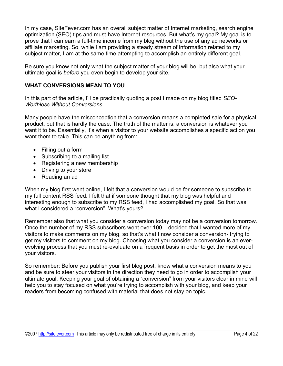In my case, SiteFever.com has an overall subject matter of Internet marketing, search engine optimization (SEO) tips and must-have Internet resources. But what's my goal? My goal is to prove that I can earn a full-time income from my blog without the use of any ad networks or affiliate marketing. So, while I am providing a steady stream of information related to my subject matter, I am at the same time attempting to accomplish an entirely different goal.

Be sure you know not only what the subject matter of your blog will be, but also what your ultimate goal is *before* you even begin to develop your site.

## **WHAT CONVERSIONS MEAN TO YOU**

In this part of the article, I'll be practically quoting a post I made on my blog titled *SEO-Worthless Without Conversions*.

Many people have the misconception that a conversion means a completed sale for a physical product, but that is hardly the case. The truth of the matter is, a conversion is whatever you want it to be. Essentially, it's when a visitor to your website accomplishes a specific action you want them to take. This can be anything from:

- Filling out a form
- Subscribing to a mailing list
- Registering a new membership
- Driving to your store
- Reading an ad

When my blog first went online, I felt that a conversion would be for someone to subscribe to my full content RSS feed. I felt that if someone thought that my blog was helpful and interesting enough to subscribe to my RSS feed, I had accomplished my goal. So that was what I considered a "conversion". What's yours?

Remember also that what you consider a conversion today may not be a conversion tomorrow. Once the number of my RSS subscribers went over 100, I decided that I wanted more of my visitors to make comments on my blog, so that's what I now consider a conversion- trying to get my visitors to comment on my blog. Choosing what you consider a conversion is an everevolving process that you must re-evaluate on a frequent basis in order to get the most out of your visitors.

So remember: Before you publish your first blog post, know what a conversion means to you and be sure to steer your visitors in the direction they need to go in order to accomplish your ultimate goal. Keeping your goal of obtaining a "conversion" from your visitors clear in mind will help you to stay focused on what you're trying to accomplish with your blog, and keep your readers from becoming confused with material that does not stay on topic.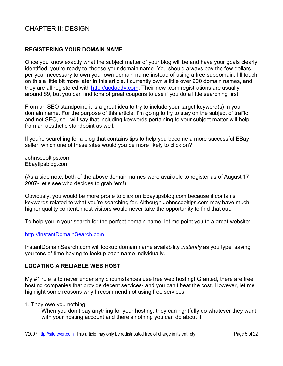# **CHAPTER II: DESIGN**

## **REGISTERING YOUR DOMAIN NAME**

Once you know exactly what the subject matter of your blog will be and have your goals clearly identified, you're ready to choose your domain name. You should always pay the few dollars per year necessary to own your own domain name instead of using a free subdomain. I'll touch on this a little bit more later in this article. I currently own a little over 200 domain names, and they are all registered with http://godaddy.com. Their new .com registrations are usually around \$9, but you can find tons of great coupons to use if you do a little searching first.

From an SEO standpoint, it is a great idea to try to include your target keyword(s) in your domain name. For the purpose of this article, I'm going to try to stay on the subject of traffic and not SEO, so I will say that including keywords pertaining to your subject matter will help from an aesthetic standpoint as well.

If you're searching for a blog that contains tips to help you become a more successful EBay seller, which one of these sites would you be more likely to click on?

Johnscooltips.com Ebaytipsblog.com

(As a side note, both of the above domain names were available to register as of August 17, 2007- let's see who decides to grab 'em!)

Obviously, you would be more prone to click on Ebaytipsblog.com because it contains keywords related to what you're searching for. Although Johnscooltips.com may have much higher quality content, most visitors would never take the opportunity to find that out.

To help you in your search for the perfect domain name, let me point you to a great website:

#### http://InstantDomainSearch.com

InstantDomainSearch.com will lookup domain name availability *instantly* as you type, saving you tons of time having to lookup each name individually.

## **LOCATING A RELIABLE WEB HOST**

My #1 rule is to never under any circumstances use free web hosting! Granted, there are free hosting companies that provide decent services- and you can't beat the cost. However, let me highlight some reasons why I recommend not using free services:

#### 1. They owe you nothing

When you don't pay anything for your hosting, they can rightfully do whatever they want with your hosting account and there's nothing you can do about it.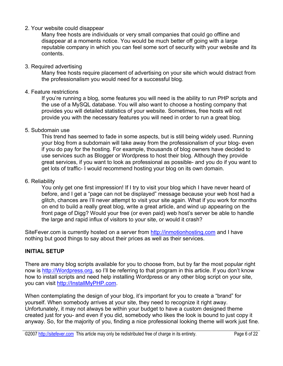## 2. Your website could disappear

Many free hosts are individuals or very small companies that could go offline and disappear at a moments notice. You would be much better off going with a large reputable company in which you can feel some sort of security with your website and its contents.

## 3. Required advertising

Many free hosts require placement of advertising on your site which would distract from the professionalism you would need for a successful blog.

## 4. Feature restrictions

If you're running a blog, some features you will need is the ability to run PHP scripts and the use of a MySQL database. You will also want to choose a hosting company that provides you will detailed statistics of your website. Sometimes, free hosts will not provide you with the necessary features you will need in order to run a great blog.

## 5. Subdomain use

This trend has seemed to fade in some aspects, but is still being widely used. Running your blog from a subdomain will take away from the professionalism of your blog- even if you do pay for the hosting. For example, thousands of blog owners have decided to use services such as Blogger or Wordpress to host their blog. Although they provide great services, if you want to look as professional as possible- and you do if you want to get lots of traffic- I would recommend hosting your blog on its own domain.

## 6. Reliability

You only get one first impression! If I try to visit your blog which I have never heard of before, and I get a "page can not be displayed" message because your web host had a glitch, chances are I'll never attempt to visit your site again. What if you work for months on end to build a really great blog, write a great article, and wind up appearing on the front page of Digg? Would your free (or even paid) web host's server be able to handle the large and rapid influx of visitors to your site, or would it crash?

SiteFever.com is currently hosted on a server from http://inmotionhosting.com and I have nothing but good things to say about their prices as well as their services.

## **INITIAL SETUP**

There are many blog scripts available for you to choose from, but by far the most popular right now is http://Wordpress.org, so I'll be referring to that program in this article. If you don't know how to install scripts and need help installing Wordpress or any other blog script on your site, you can visit http://InstallMyPHP.com.

When contemplating the design of your blog, it's important for you to create a "brand" for yourself. When somebody arrives at your site, they need to recognize it right away. Unfortunately, it may not always be within your budget to have a custom designed theme created just for you- and even if you did, somebody who likes the look is bound to just copy it anyway. So, for the majority of you, finding a nice professional looking theme will work just fine.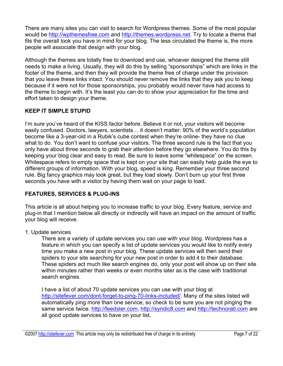There are many sites you can visit to search for Wordpress themes. Some of the most popular would be http://wpthemesfree.com and http://themes.wordpress.net. Try to locate a theme that fits the overall look you have in mind for your blog. The less circulated the theme is, the more people will associate that design with your blog.

Although the themes are totally free to download and use, whoever designed the theme still needs to make a living. Usually, they will do this by selling "sponsorships" which are links in the footer of the theme, and then they will provide the theme free of charge under the provision that you leave these links intact. You should never remove the links that they ask you to keep because if it were not for those sponsorships, you probably would never have had access to the theme to begin with. It's the least you can do to show your appreciation for the time and effort taken to design your theme.

## **KEEP IT SIMPLE STUPID**

I'm sure you've heard of the KISS factor before. Believe it or not, your visitors will become easily confused. Doctors, lawyers, scientists… it doesn't matter. 90% of the world's population become like a 3-year-old in a Rubik's cube contest when they're online- they have no clue what to do. You don't want to confuse your visitors. The three second rule is the fact that you only have about three seconds to grab their attention before they go elsewhere. You do this by keeping your blog clear and easy to read. Be sure to leave some "whitespace" on the screen. Whitespace refers to empty space that is kept on your site that can easily help guide the eye to different groups of information. With your blog, speed is king. Remember your three second rule. Big fancy graphics may look great, but they load slowly. Don't burn up your first three seconds you have with a visitor by having them wait on your page to load.

## **FEATURES, SERVICES & PLUG-INS**

This article is all about helping you to increase traffic to your blog. Every feature, service and plug-in that I mention below all directly or indirectly will have an impact on the amount of traffic your blog will receive.

## 1. Update services

There are a variety of update services you can use with your blog. Wordpress has a feature in which you can specify a list of update services you would like to notify every time you make a new post in your blog. These update services will then send their spiders to your site searching for your new post in order to add it to their database. These spiders act much like search engines do, only your post will show up on their site within minutes rather than weeks or even months later as is the case with traditional search engines.

I have a list of about 70 update services you can use with your blog at http://sitefever.com/dont-forget-to-ping-70-links-included/. Many of the sites listed will automatically ping more than one service, so check to be sure you are not pinging the same service twice. http://feedster.com, http://syndic8.com and http://technorati.com are all good update services to have on your list.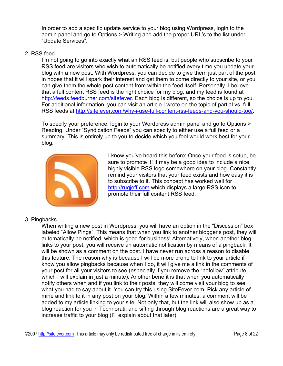In order to add a specific update service to your blog using Wordpress, login to the admin panel and go to Options > Writing and add the proper URL's to the list under "Update Services".

## 2. RSS feed

I'm not going to go into exactly what an RSS feed is, but people who subscribe to your RSS feed are visitors who wish to automatically be notified every time you update your blog with a new post. With Wordpress, you can decide to give them just part of the post in hopes that it will spark their interest and get them to come directly to your site, or you can give them the whole post content from within the feed itself. Personally, I believe that a full content RSS feed is the right choice for my blog, and my feed is found at http://feeds.feedburner.com/sitefever. Each blog is different, so the choice is up to you. For additional information, you can visit an article I wrote on the topic of partial vs. full RSS feeds at http://sitefever.com/why-i-use-full-content-rss-feeds-and-you-should-too/.

To specify your preference, login to your Wordpress admin panel and go to Options > Reading. Under "Syndication Feeds" you can specify to either use a full feed or a summary. This is entirely up to you to decide which you feel would work best for your blog.



I know you've heard this before: Once your feed is setup, be sure to promote it! It may be a good idea to include a nice, highly visible RSS logo somewhere on your blog. Constantly remind your visitors that your feed exists and how easy it is to subscribe to it. This concept has worked well for http://rugjeff.com which displays a large RSS icon to promote their full content RSS feed.

## 3. Pingbacks

When writing a new post in Wordpress, you will have an option in the "Discussion" box labeled "Allow Pings". This means that when you link to another blogger's post, they will automatically be notified, which is good for business! Alternatively, when another blog links to your post, you will receive an automatic notification by means of a pingback. It will be shown as a comment on the post. I have never run across a reason to disable this feature. The reason why is because I will be more prone to link to your article if I know you allow pingbacks because when I do, it will give me a link in the comments of your post for all your visitors to see (especially if you remove the "nofollow" attribute, which I will explain in just a minute). Another benefit is that when you automatically notify others when and if you link to their posts, they will come visit your blog to see what you had to say about it. You can try this using SiteFever.com. Pick any article of mine and link to it in any post on your blog. Within a few minutes, a comment will be added to my article linking to your site. Not only that, but the link will also show up as a blog reaction for you in Technorati, and sifting through blog reactions are a great way to increase traffic to your blog (I'll explain about that later).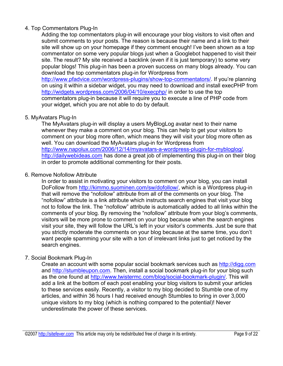## 4. Top Commentators Plug-In

Adding the top commentators plug-in will encourage your blog visitors to visit often and submit comments to your posts. The reason is because their name and a link to their site will show up on your homepage if they comment enough! I've been shown as a top commentator on some very popular blogs just when a Googlebot happened to visit their site. The result? My site received a backlink (even if it is just temporary) to some very popular blogs! This plug-in has been a proven success on many blogs already. You can download the top commentators plug-in for Wordpress from http://www.pfadvice.com/wordpress-plugins/show-top-commentators/. If you're planning on using it within a sidebar widget, you may need to download and install execPHP from http://widgets.wordpress.com/2006/04/10/execphp/ in order to use the top commentators plug-in because it will require you to execute a line of PHP code from your widget, which you are not able to do by default.

## 5. MyAvatars Plug-In

The MyAvatars plug-in will display a users MyBlogLog avatar next to their name whenever they make a comment on your blog. This can help to get your visitors to comment on your blog more often, which means they will visit your blog more often as well. You can download the MyAvatars plug-in for Wordpress from http://www.napolux.com/2006/12/14/myavatars-a-wordpress-plugin-for-mybloglog/. http://dailywebideas.com has done a great job of implementing this plug-in on their blog in order to promote additional commenting for their posts.

## 6. Remove Nofollow Attribute

In order to assist in motivating your visitors to comment on your blog, you can install DoFollow from http://kimmo.suominen.com/sw/dofollow/, which is a Wordpress plug-in that will remove the "nofollow" attribute from all of the comments on your blog. The "nofollow" attribute is a link attribute which instructs search engines that visit your blog not to follow the link. The "nofollow" attribute is automatically added to all links within the comments of your blog. By removing the "nofollow" attribute from your blog's comments, visitors will be more prone to comment on your blog because when the search engines visit your site, they will follow the URL's left in your visitor's comments. Just be sure that you strictly moderate the comments on your blog because at the same time, you don't want people spamming your site with a ton of irrelevant links just to get noticed by the search engines.

## 7. Social Bookmark Plug-In

Create an account with some popular social bookmark services such as http://digg.com and http://stumbleupon.com. Then, install a social bookmark plug-in for your blog such as the one found at http://www.twistermc.com/blog/social-bookmark-plugin/. This will add a link at the bottom of each post enabling your blog visitors to submit your articles to these services easily. Recently, a visitor to my blog decided to Stumble one of my articles, and within 36 hours I had received enough Stumbles to bring in over 3,000 unique visitors to my blog (which is nothing compared to the potential)! Never underestimate the power of these services.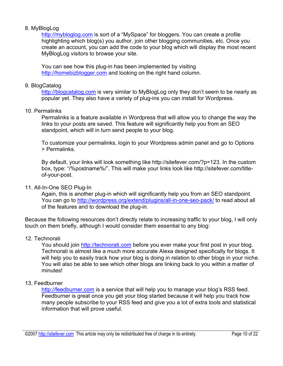## 8. MyBlogLog

http://mybloglog.com is sort of a "MySpace" for bloggers. You can create a profile highlighting which blog(s) you author, join other blogging communities, etc. Once you create an account, you can add the code to your blog which will display the most recent MyBlogLog visitors to browse your site.

You can see how this plug-in has been implemented by visiting http://homebizblogger.com and looking on the right hand column.

## 9. BlogCatalog

http://blogcatalog.com is very similar to MyBlogLog only they don't seem to be nearly as popular yet. They also have a variety of plug-ins you can install for Wordpress.

## 10. Permalinks

Permalinks is a feature available in Wordpress that will allow you to change the way the links to your posts are saved. This feature will significantly help you from an SEO standpoint, which will in turn send people to your blog.

To customize your permalinks, login to your Wordpress admin panel and go to Options > Permalinks.

By default, your links will look something like http://sitefever.com/?p=123. In the custom box, type: "/%postname%/". This will make your links look like http://sitefever.com/titleof-your-post.

## 11. All-In-One SEO Plug-In

Again, this is another plug-in which will significantly help you from an SEO standpoint. You can go to http://wordpress.org/extend/plugins/all-in-one-seo-pack/ to read about all of the features and to download the plug-in.

Because the following resources don't directly relate to increasing traffic to your blog, I will only touch on them briefly, although I would consider them essential to any blog:

## 12. Technorati

You should join http://technorati.com before you ever make your first post in your blog. Technorati is almost like a much more accurate Alexa designed specifically for blogs. It will help you to easily track how your blog is doing in relation to other blogs in your niche. You will also be able to see which other blogs are linking back to you within a matter of minutes!

## 13. Feedburner

http://feedburner.com is a service that will help you to manage your blog's RSS feed. Feedburner is great once you get your blog started because it will help you track how many people subscribe to your RSS feed and give you a lot of extra tools and statistical information that will prove useful.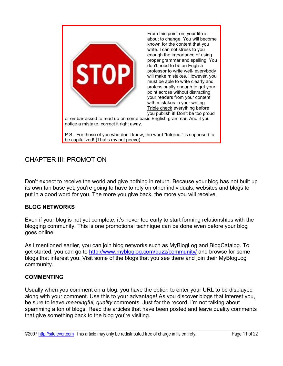

From this point on, your life is about to change. You will become known for the content that you write. I can not stress to you enough the importance of using proper grammar and spelling. You don't need to be an English professor to write well- everybody will make mistakes. However, you must be able to write clearly and professionally enough to get your point across without distracting your readers from your content with mistakes in your writing. Triple check everything before you publish it! Don't be too proud

or embarrassed to read up on some basic English grammar. And if you notice a mistake, correct it right away.

P.S.- For those of you who don't know, the word "Internet" is supposed to be capitalized! (That's my pet peeve)

# CHAPTER III: PROMOTION

Don't expect to receive the world and give nothing in return. Because your blog has not built up its own fan base yet, you're going to have to rely on other individuals, websites and blogs to put in a good word for you. The more you give back, the more you will receive.

## **BLOG NETWORKS**

Even if your blog is not yet complete, it's never too early to start forming relationships with the blogging community. This is one promotional technique can be done even before your blog goes online.

As I mentioned earlier, you can join blog networks such as MyBlogLog and BlogCatalog. To get started, you can go to http://www.mybloglog.com/buzz/community/ and browse for some blogs that interest you. Visit some of the blogs that you see there and join their MyBlogLog community.

## **COMMENTING**

Usually when you comment on a blog, you have the option to enter your URL to be displayed along with your comment. Use this to your advantage! As you discover blogs that interest you, be sure to leave *meaningful, quality* comments. Just for the record, I'm not talking about spamming a ton of blogs. Read the articles that have been posted and leave quality comments that give something back to the blog you're visiting.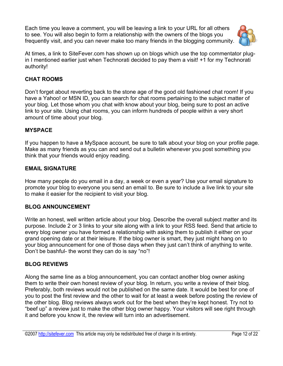Each time you leave a comment, you will be leaving a link to your URL for all others to see. You will also begin to form a relationship with the owners of the blogs you frequently visit, and you can never make too many friends in the blogging community.



At times, a link to SiteFever.com has shown up on blogs which use the top commentator plugin I mentioned earlier just when Technorati decided to pay them a visit! +1 for my Technorati authority!

## **CHAT ROOMS**

Don't forget about reverting back to the stone age of the good old fashioned chat room! If you have a Yahoo! or MSN ID, you can search for chat rooms pertaining to the subject matter of your blog. Let those whom you chat with know about your blog, being sure to post an active link to your site. Using chat rooms, you can inform hundreds of people within a very short amount of time about your blog.

## **MYSPACE**

If you happen to have a MySpace account, be sure to talk about your blog on your profile page. Make as many friends as you can and send out a bulletin whenever you post something you think that your friends would enjoy reading.

## **EMAIL SIGNATURE**

How many people do you email in a day, a week or even a year? Use your email signature to promote your blog to everyone you send an email to. Be sure to include a live link to your site to make it easier for the recipient to visit your blog.

## **BLOG ANNOUNCEMENT**

Write an honest, well written article about your blog. Describe the overall subject matter and its purpose. Include 2 or 3 links to your site along with a link to your RSS feed. Send that article to every blog owner you have formed a relationship with asking them to publish it either on your grand opening date or at their leisure. If the blog owner is smart, they just might hang on to your blog announcement for one of those days when they just can't think of anything to write. Don't be bashful- the worst they can do is say "no"!

## **BLOG REVIEWS**

Along the same line as a blog announcement, you can contact another blog owner asking them to write their own honest review of your blog. In return, you write a review of their blog. Preferably, both reviews would not be published on the same date. It would be best for one of you to post the first review and the other to wait for at least a week before posting the review of the other blog. Blog reviews always work out for the best when they're kept honest. Try not to "beef up" a review just to make the other blog owner happy. Your visitors will see right through it and before you know it, the review will turn into an advertisement.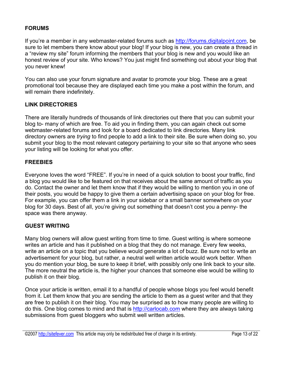## **FORUMS**

If you're a member in any webmaster-related forums such as http://forums.digitalpoint.com, be sure to let members there know about your blog! If your blog is new, you can create a thread in a "review my site" forum informing the members that your blog is new and you would like an honest review of your site. Who knows? You just might find something out about your blog that you never knew!

You can also use your forum signature and avatar to promote your blog. These are a great promotional tool because they are displayed each time you make a post within the forum, and will remain there indefinitely.

## **LINK DIRECTORIES**

There are literally hundreds of thousands of link directories out there that you can submit your blog to- many of which are free. To aid you in finding them, you can again check out some webmaster-related forums and look for a board dedicated to link directories. Many link directory owners are *trying* to find people to add a link to their site. Be sure when doing so, you submit your blog to the most relevant category pertaining to your site so that anyone who sees your listing will be looking for what you offer.

## **FREEBIES**

Everyone loves the word "FREE". If you're in need of a quick solution to boost your traffic, find a blog you would like to be featured on that receives about the same amount of traffic as you do. Contact the owner and let them know that if they would be willing to mention you in one of their posts, you would be happy to give them a certain advertising space on your blog for free. For example, you can offer them a link in your sidebar or a small banner somewhere on your blog for 30 days. Best of all, you're giving out something that doesn't cost you a penny- the space was there anyway.

## **GUEST WRITING**

Many blog owners will allow guest writing from time to time. Guest writing is where someone writes an article and has it published on a blog that they do not manage. Every few weeks, write an article on a topic that you believe would generate a lot of buzz. Be sure not to write an advertisement for your blog, but rather, a neutral well written article would work better. When you do mention your blog, be sure to keep it brief, with possibly only one link back to your site. The more neutral the article is, the higher your chances that someone else would be willing to publish it on their blog.

Once your article is written, email it to a handful of people whose blogs you feel would benefit from it. Let them know that you are sending the article to them as a guest writer and that they are free to publish it on their blog. You may be surprised as to how many people are willing to do this. One blog comes to mind and that is http://carlocab.com where they are always taking submissions from guest bloggers who submit well written articles.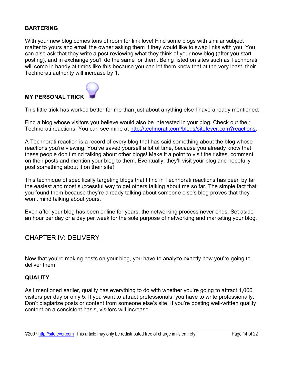## **BARTERING**

With your new blog comes tons of room for link love! Find some blogs with similar subject matter to yours and email the owner asking them if they would like to swap links with you. You can also ask that they write a post reviewing what they think of your new blog (after you start posting), and in exchange you'll do the same for them. Being listed on sites such as Technorati will come in handy at times like this because you can let them know that at the very least, their Technorati authority will increase by 1.



This little trick has worked better for me than just about anything else I have already mentioned:

Find a blog whose visitors you believe would also be interested in your blog. Check out their Technorati reactions. You can see mine at http://technorati.com/blogs/sitefever.com?reactions.

A Technorati reaction is a record of every blog that has said something about the blog whose reactions you're viewing. You've saved yourself a lot of time, because you already know that these people don't mind talking about other blogs! Make it a point to visit their sites, comment on their posts and mention your blog to them. Eventually, they'll visit your blog and hopefully post something about it on their site!

This technique of specifically targeting blogs that I find in Technorati reactions has been by far the easiest and most successful way to get others talking about me so far. The simple fact that you found them because they're already talking about someone else's blog proves that they won't mind talking about yours.

Even after your blog has been online for years, the networking process never ends. Set aside an hour per day or a day per week for the sole purpose of networking and marketing your blog.

# CHAPTER IV: DELIVERY

Now that you're making posts on your blog, you have to analyze exactly how you're going to deliver them.

## **QUALITY**

As I mentioned earlier, quality has everything to do with whether you're going to attract 1,000 visitors per day or only 5. If you want to attract professionals, you have to write professionally. Don't plagiarize posts or content from someone else's site. If you're posting well-written quality content on a consistent basis, visitors will increase.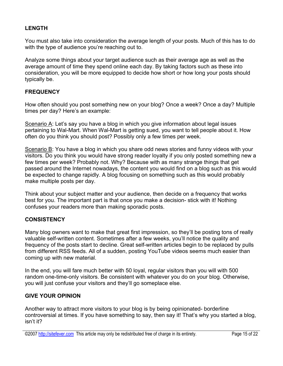## **LENGTH**

You must also take into consideration the average length of your posts. Much of this has to do with the type of audience you're reaching out to.

Analyze some things about your target audience such as their average age as well as the average amount of time they spend online each day. By taking factors such as these into consideration, you will be more equipped to decide how short or how long your posts should typically be.

## **FREQUENCY**

How often should you post something new on your blog? Once a week? Once a day? Multiple times per day? Here's an example:

Scenario A: Let's say you have a blog in which you give information about legal issues pertaining to Wal-Mart. When Wal-Mart is getting sued, you want to tell people about it. How often do you think you should post? Possibly only a few times per week.

Scenario B: You have a blog in which you share odd news stories and funny videos with your visitors. Do you think you would have strong reader loyalty if you only posted something new a few times per week? Probably not. Why? Because with as many strange things that get passed around the Internet nowadays, the content you would find on a blog such as this would be expected to change rapidly. A blog focusing on something such as this would probably make multiple posts per day.

Think about your subject matter and your audience, then decide on a frequency that works best for you. The important part is that once you make a decision- stick with it! Nothing confuses your readers more than making sporadic posts.

## **CONSISTENCY**

Many blog owners want to make that great first impression, so they'll be posting tons of really valuable self-written content. Sometimes after a few weeks, you'll notice the quality and frequency of the posts start to decline. Great self-written articles begin to be replaced by pulls from different RSS feeds. All of a sudden, posting YouTube videos seems much easier than coming up with new material.

In the end, you will fare much better with 50 loyal, regular visitors than you will with 500 random one-time-only visitors. Be consistent with whatever you do on your blog. Otherwise, you will just confuse your visitors and they'll go someplace else.

## **GIVE YOUR OPINION**

Another way to attract more visitors to your blog is by being opinionated- borderline controversial at times. If you have something to say, then say it! That's why you started a blog, isn't it?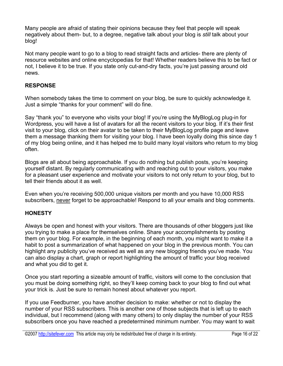Many people are afraid of stating their opinions because they feel that people will speak negatively about them- but, to a degree, negative talk about your blog is *still* talk about your blog!

Not many people want to go to a blog to read straight facts and articles- there are plenty of resource websites and online encyclopedias for that! Whether readers believe this to be fact or not, I believe it to be true. If you state only cut-and-dry facts, you're just passing around old news.

## **RESPONSE**

When somebody takes the time to comment on your blog, be sure to quickly acknowledge it. Just a simple "thanks for your comment" will do fine.

Say "thank you" to everyone who visits your blog! If you're using the MyBlogLog plug-in for Wordpress, you will have a list of avatars for all the recent visitors to your blog. If it's their first visit to your blog, click on their avatar to be taken to their MyBlogLog profile page and leave them a message thanking them for visiting your blog. I have been loyally doing this since day 1 of my blog being online, and it has helped me to build many loyal visitors who return to my blog often.

Blogs are all about being approachable. If you do nothing but publish posts, you're keeping yourself distant. By regularly communicating with and reaching out to your visitors, you make for a pleasant user experience and motivate your visitors to not only return to your blog, but to tell their friends about it as well.

Even when you're receiving 500,000 unique visitors per month and you have 10,000 RSS subscribers, never forget to be approachable! Respond to all your emails and blog comments.

## **HONESTY**

Always be open and honest with your visitors. There are thousands of other bloggers just like you trying to make a place for themselves online. Share your accomplishments by posting them on your blog. For example, in the beginning of each month, you might want to make it a habit to post a summarization of what happened on your blog in the previous month. You can highlight any publicity you've received as well as any new blogging friends you've made. You can also display a chart, graph or report highlighting the amount of traffic your blog received and what you did to get it.

Once you start reporting a sizeable amount of traffic, visitors will come to the conclusion that you must be doing something right, so they'll keep coming back to your blog to find out what your trick is. Just be sure to remain honest about whatever you report.

If you use Feedburner, you have another decision to make: whether or not to display the number of your RSS subscribers. This is another one of those subjects that is left up to each individual, but I recommend (along with many others) to only display the number of your RSS subscribers once you have reached a predetermined minimum number. You may want to wait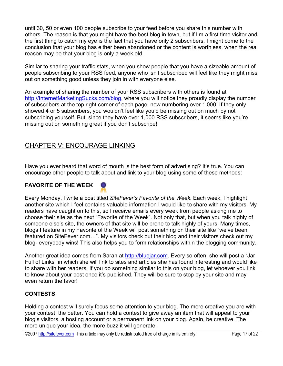until 30, 50 or even 100 people subscribe to your feed before you share this number with others. The reason is that you might have the best blog in town, but if I'm a first time visitor and the first thing to catch my eye is the fact that you have only 2 subscribers, I might come to the conclusion that your blog has either been abandoned or the content is worthless, when the real reason may be that your blog is only a week old.

Similar to sharing your traffic stats, when you show people that you have a sizeable amount of people subscribing to your RSS feed, anyone who isn't subscribed will feel like they might miss out on something good unless they join in with everyone else.

An example of sharing the number of your RSS subscribers with others is found at http://InternetMarketingSucks.com/blog, where you will notice they proudly display the number of subscribers at the top right corner of each page, now numbering over 1,000! If they only showed 4 or 5 subscribers, you wouldn't feel like you'd be missing out on much by not subscribing yourself. But, since they have over 1,000 RSS subscribers, it seems like you're missing out on something great if you don't subscribe!

# CHAPTER V: ENCOURAGE LINKING

Have you ever heard that word of mouth is the best form of advertising? It's true. You can encourage other people to talk about and link to your blog using some of these methods:

## **FAVORITE OF THE WEEK**



Every Monday, I write a post titled *SiteFever's Favorite of the Week*. Each week, I highlight another site which I feel contains valuable information I would like to share with my visitors. My readers have caught on to this, so I receive emails every week from people asking me to choose their site as the next "Favorite of the Week". Not only that, but when you talk highly of someone else's site, the owners of that site will be prone to talk highly of yours. Many times, blogs I feature in my Favorite of the Week will post something on their site like "we've been featured on SiteFever.com…". My visitors check out their blog and their visitors check out my blog- everybody wins! This also helps you to form relationships within the blogging community.

Another great idea comes from Sarah at http://bluejar.com. Every so often, she will post a "Jar Full of Links" in which she will link to sites and articles she has found interesting and would like to share with her readers. If you do something similar to this on your blog, let whoever you link to know about your post once it's published. They will be sure to stop by your site and may even return the favor!

## **CONTESTS**

Holding a contest will surely focus some attention to your blog. The more creative you are with your contest, the better. You can hold a contest to give away an item that will appeal to your blog's visitors, a hosting account or a permanent link on your blog. Again, be creative. The more unique your idea, the more buzz it will generate.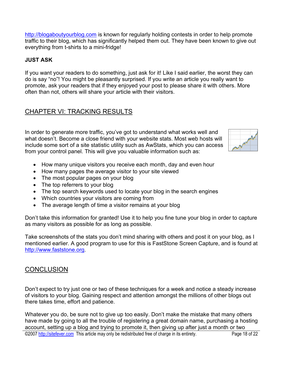http://blogaboutyourblog.com is known for regularly holding contests in order to help promote traffic to their blog, which has significantly helped them out. They have been known to give out everything from t-shirts to a mini-fridge!

## **JUST ASK**

If you want your readers to do something, just ask for it! Like I said earlier, the worst they can do is say "no"! You might be pleasantly surprised. If you write an article you really want to promote, ask your readers that if they enjoyed your post to please share it with others. More often than not, others will share your article with their visitors.

# CHAPTER VI: TRACKING RESULTS

In order to generate more traffic, you've got to understand what works well and what doesn't. Become a close friend with your website stats. Most web hosts will include some sort of a site statistic utility such as AwStats, which you can access from your control panel. This will give you valuable information such as:



- How many unique visitors you receive each month, day and even hour
- How many pages the average visitor to your site viewed
- The most popular pages on your blog
- The top referrers to your blog
- The top search keywords used to locate your blog in the search engines
- Which countries your visitors are coming from
- The average length of time a visitor remains at your blog

Don't take this information for granted! Use it to help you fine tune your blog in order to capture as many visitors as possible for as long as possible.

Take screenshots of the stats you don't mind sharing with others and post it on your blog, as I mentioned earlier. A good program to use for this is FastStone Screen Capture, and is found at http://www.faststone.org.

# **CONCLUSION**

Don't expect to try just one or two of these techniques for a week and notice a steady increase of visitors to your blog. Gaining respect and attention amongst the millions of other blogs out there takes time, effort and patience.

©2007 http://sitefever.com This article may only be redistributed free of charge in its entirety. Page 18 of 22 Whatever you do, be sure not to give up too easily. Don't make the mistake that many others have made by going to all the trouble of registering a great domain name, purchasing a hosting account, setting up a blog and trying to promote it, then giving up after just a month or two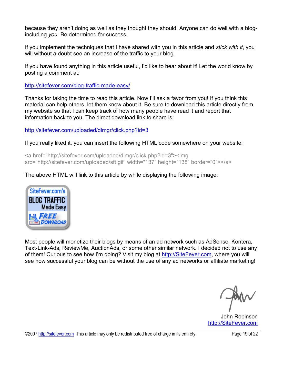because they aren't doing as well as they thought they should. Anyone can do well with a blogincluding *you*. Be determined for success.

If you implement the techniques that I have shared with you in this article and *stick with it*, you will without a doubt see an increase of the traffic to your blog.

If you have found anything in this article useful, I'd like to hear about it! Let the world know by posting a comment at:

http://sitefever.com/blog-traffic-made-easy/

Thanks for taking the time to read this article. Now I'll ask a favor from you! If you think this material can help others, let them know about it. Be sure to download this article directly from my website so that I can keep track of how many people have read it and report that information back to you. The direct download link to share is:

http://sitefever.com/uploaded/dlmgr/click.php?id=3

If you really liked it, you can insert the following HTML code somewhere on your website:

<a href="http://sitefever.com/uploaded/dlmgr/click.php?id=3"><img src="http://sitefever.com/uploaded/sft.gif" width="137" height="138" border="0"></a>

The above HTML will link to this article by while displaying the following image:



Most people will monetize their blogs by means of an ad network such as AdSense, Kontera, Text-Link-Ads, ReviewMe, AuctionAds, or some other similar network. I decided not to use any of them! Curious to see how I'm doing? Visit my blog at http://SiteFever.com, where you will see how successful your blog can be without the use of any ad networks or affiliate marketing!

John Robinson http://SiteFever.com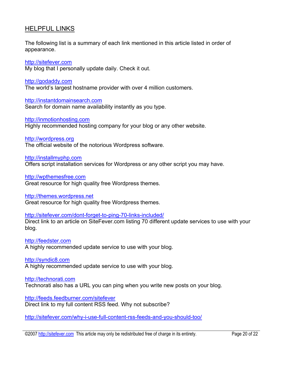# HELPFUL LINKS

The following list is a summary of each link mentioned in this article listed in order of appearance.

#### http://sitefever.com

My blog that I personally update daily. Check it out.

#### http://godaddy.com

The world's largest hostname provider with over 4 million customers.

# http://instantdomainsearch.com

Search for domain name availability instantly as you type.

#### http://inmotionhosting.com

Highly recommended hosting company for your blog or any other website.

http://wordpress.org

The official website of the notorious Wordpress software.

http://installmyphp.com

Offers script installation services for Wordpress or any other script you may have.

#### http://wpthemesfree.com

Great resource for high quality free Wordpress themes.

#### http://themes.wordpress.net

Great resource for high quality free Wordpress themes.

#### http://sitefever.com/dont-forget-to-ping-70-links-included/

Direct link to an article on SiteFever.com listing 70 different update services to use with your blog.

http://feedster.com

A highly recommended update service to use with your blog.

#### http://syndic8.com

A highly recommended update service to use with your blog.

#### http://technorati.com

Technorati also has a URL you can ping when you write new posts on your blog.

http://feeds.feedburner.com/sitefever Direct link to my full content RSS feed. Why not subscribe?

http://sitefever.com/why-i-use-full-content-rss-feeds-and-you-should-too/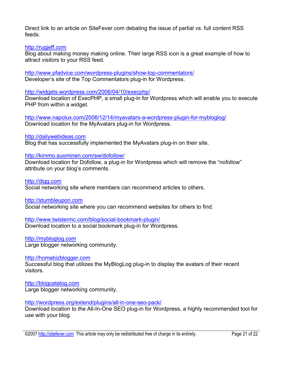Direct link to an article on SiteFever.com debating the issue of partial vs. full content RSS feeds.

#### http://rugjeff.com

Blog about making money making online. Their large RSS icon is a great example of how to attract visitors to your RSS feed.

http://www.pfadvice.com/wordpress-plugins/show-top-commentators/ Developer's site of the Top Commentators plug-in for Wordpress.

#### http://widgets.wordpress.com/2006/04/10/execphp/

Download location of ExecPHP, a small plug-in for Wordpress which will enable you to execute PHP from within a widget.

http://www.napolux.com/2006/12/14/myavatars-a-wordpress-plugin-for-mybloglog/ Download location for the MyAvatars plug-in for Wordpress.

#### http://dailywebideas.com

Blog that has successfully implemented the MyAvatars plug-in on their site.

#### http://kimmo.suominen.com/sw/dofollow/

Download location for Dofollow, a plug-in for Wordpress which will remove the "nofollow" attribute on your blog's comments.

http://digg.com

Social networking site where members can recommend articles to others.

http://stumbleupon.com

Social networking site where you can recommend websites for others to find.

http://www.twistermc.com/blog/social-bookmark-plugin/ Download location to a social bookmark plug-in for Wordpress.

http://mybloglog.com

Large blogger networking community.

## http://homebizblogger.com

Successful blog that utilizes the MyBlogLog plug-in to display the avatars of their recent visitors.

http://blogcatalog.com

Large blogger networking community.

## http://wordpress.org/extend/plugins/all-in-one-seo-pack/

Download location to the All-In-One SEO plug-in for Wordpress, a highly recommended tool for use with your blog.